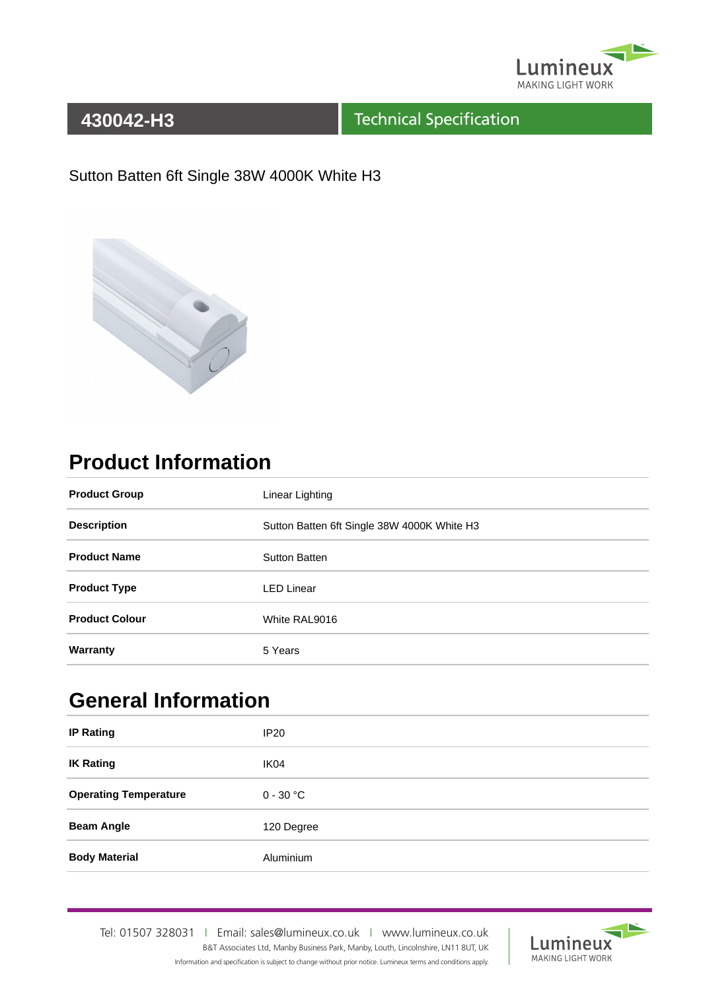

#### Technical Specification

#### Sutton Batten 6ft Single 38W 4000K White H3



# **Product Information**

| <b>Product Group</b>  | Linear Lighting                             |  |
|-----------------------|---------------------------------------------|--|
| <b>Description</b>    | Sutton Batten 6ft Single 38W 4000K White H3 |  |
| <b>Product Name</b>   | <b>Sutton Batten</b>                        |  |
| <b>Product Type</b>   | <b>LED Linear</b>                           |  |
| <b>Product Colour</b> | White RAL9016                               |  |
| Warranty              | 5 Years                                     |  |

# **General Information**

| <b>IP Rating</b>             | IP <sub>20</sub> |
|------------------------------|------------------|
| <b>IK Rating</b>             | IK04             |
| <b>Operating Temperature</b> | $0 - 30$ °C      |
| <b>Beam Angle</b>            | 120 Degree       |
| <b>Body Material</b>         | Aluminium        |

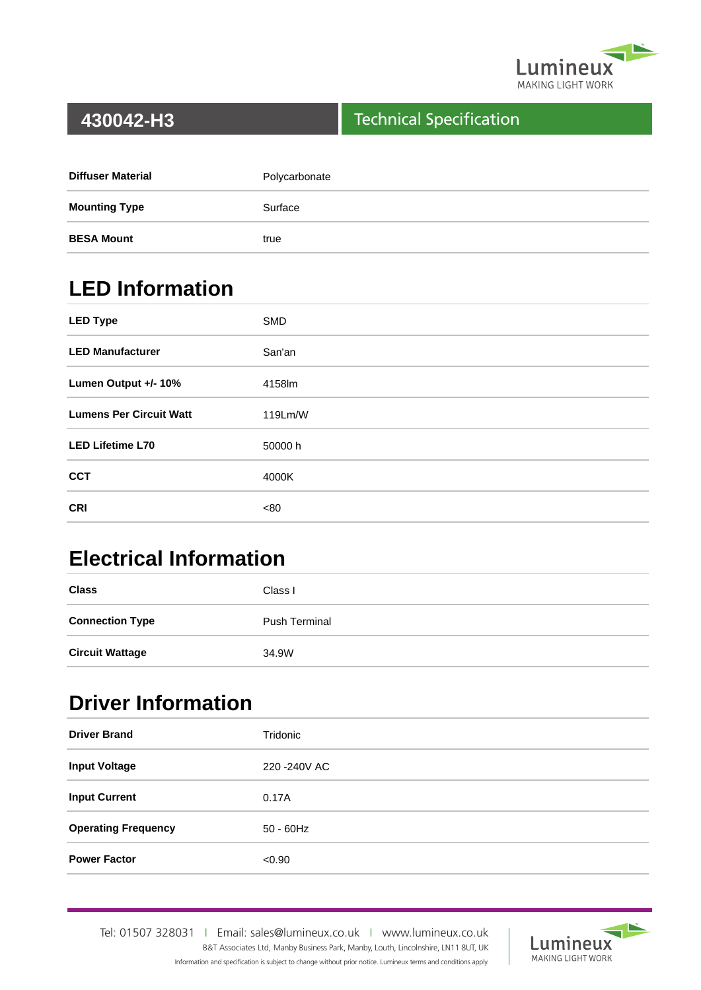

#### Technical Specification

| <b>Diffuser Material</b> | Polycarbonate |
|--------------------------|---------------|
| <b>Mounting Type</b>     | Surface       |
| <b>BESA Mount</b>        | true          |

# **LED Information**

| <b>LED Type</b>                | <b>SMD</b> |
|--------------------------------|------------|
| <b>LED Manufacturer</b>        | San'an     |
| Lumen Output +/- 10%           | 4158lm     |
| <b>Lumens Per Circuit Watt</b> | 119Lm/W    |
| <b>LED Lifetime L70</b>        | 50000 h    |
| <b>CCT</b>                     | 4000K      |
| <b>CRI</b>                     | <80        |

# **Electrical Information**

| <b>Class</b>           | Class I              |
|------------------------|----------------------|
| <b>Connection Type</b> | <b>Push Terminal</b> |
| <b>Circuit Wattage</b> | 34.9W                |

## **Driver Information**

| <b>Driver Brand</b>        | Tridonic      |
|----------------------------|---------------|
| <b>Input Voltage</b>       | 220 - 240 VAC |
| <b>Input Current</b>       | 0.17A         |
| <b>Operating Frequency</b> | $50 - 60$ Hz  |
| <b>Power Factor</b>        | < 0.90        |

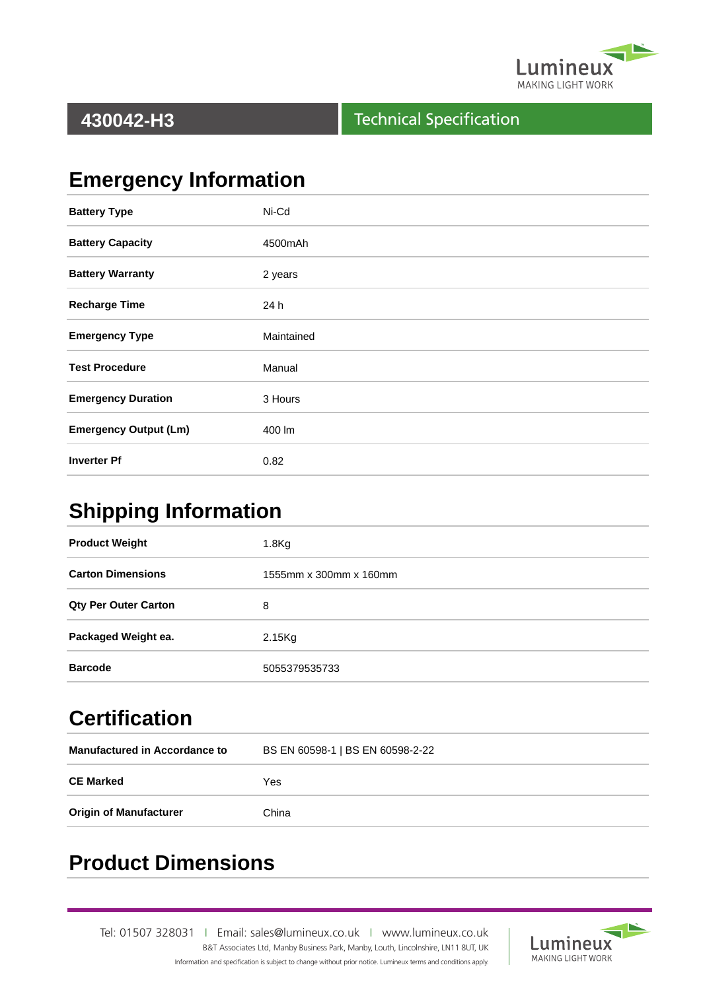

#### Technical Specification

# **Emergency Information**

| <b>Battery Type</b>          | Ni-Cd      |
|------------------------------|------------|
| <b>Battery Capacity</b>      | 4500mAh    |
| <b>Battery Warranty</b>      | 2 years    |
| <b>Recharge Time</b>         | 24 h       |
| <b>Emergency Type</b>        | Maintained |
| <b>Test Procedure</b>        | Manual     |
| <b>Emergency Duration</b>    | 3 Hours    |
| <b>Emergency Output (Lm)</b> | 400 lm     |
| <b>Inverter Pf</b>           | 0.82       |

### **Shipping Information**

| <b>Product Weight</b>       | 1.8 <sub>g</sub>       |  |  |
|-----------------------------|------------------------|--|--|
| <b>Carton Dimensions</b>    | 1555mm x 300mm x 160mm |  |  |
| <b>Qty Per Outer Carton</b> | 8                      |  |  |
| Packaged Weight ea.         | $2.15$ Kg              |  |  |
| <b>Barcode</b>              | 5055379535733          |  |  |

# **Certification**

| <b>Manufactured in Accordance to</b> | BS EN 60598-1   BS EN 60598-2-22 |  |
|--------------------------------------|----------------------------------|--|
| <b>CE Marked</b>                     | Yes                              |  |
| <b>Origin of Manufacturer</b>        | China                            |  |

## **Product Dimensions**

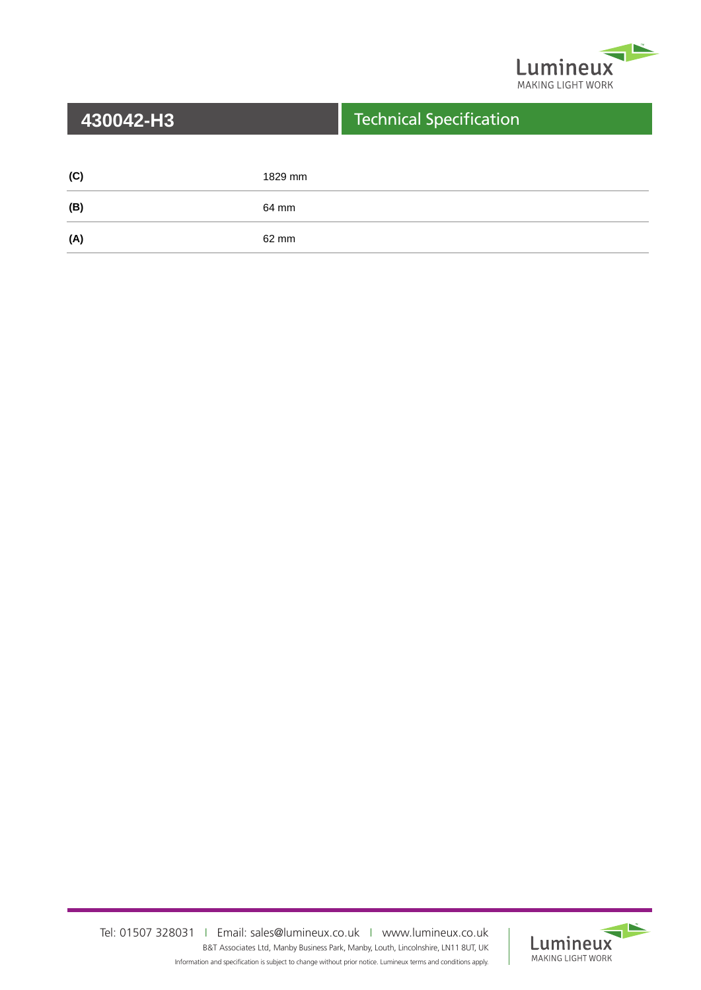

| 430042-H3 |         | <b>Technical Specification</b> |
|-----------|---------|--------------------------------|
|           |         |                                |
| (C)       | 1829 mm |                                |
| (B)       | 64 mm   |                                |
| (A)       | 62 mm   |                                |